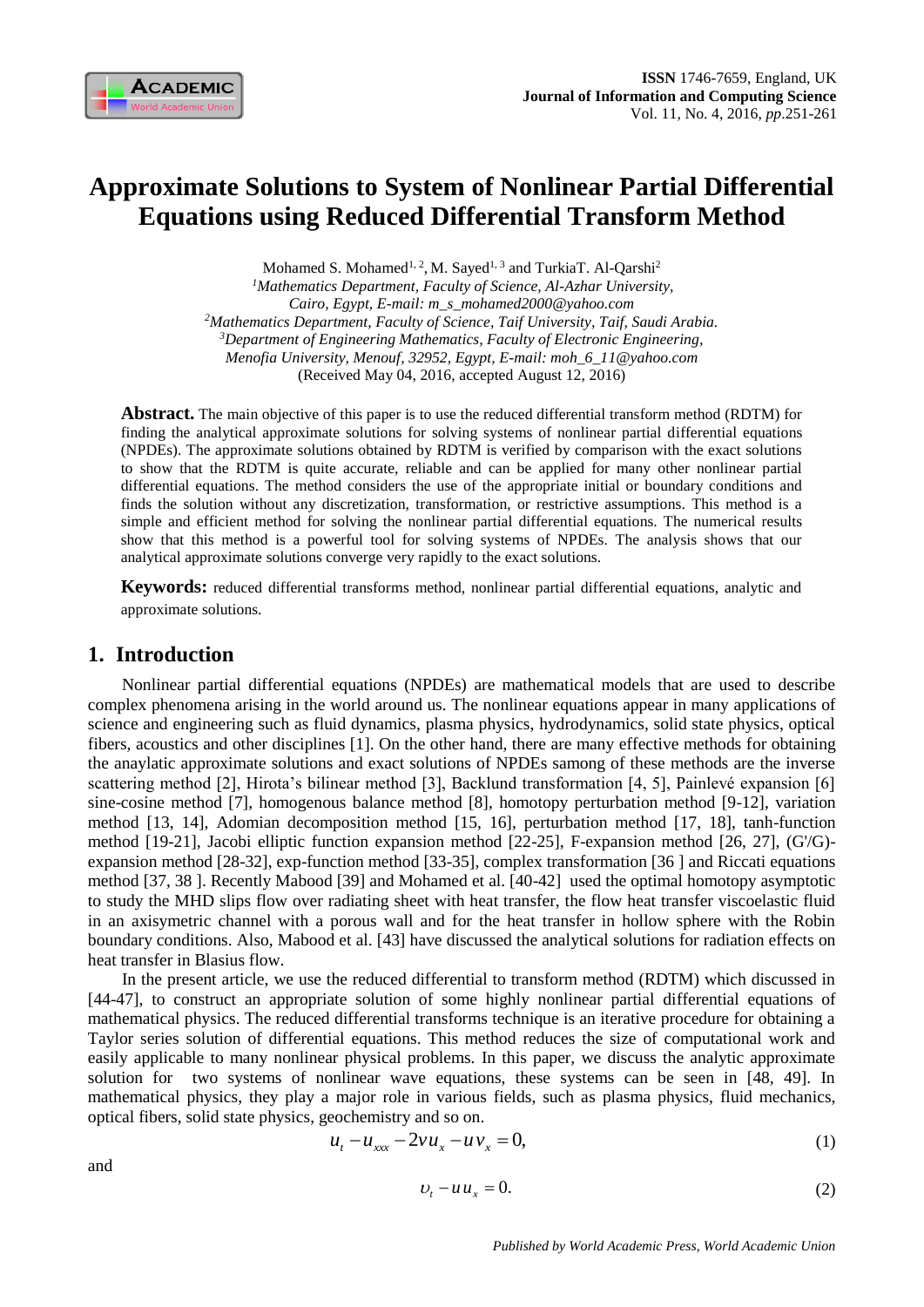

# **Approximate Solutions to System of Nonlinear Partial Differential Equations using Reduced Differential Transform Method**

Mohamed S. Mohamed<sup>1, 2</sup>, M. Sayed<sup>1, 3</sup> and TurkiaT. Al-Qarshi<sup>2</sup> *<sup>1</sup>Mathematics Department, Faculty of Science, Al-Azhar University, Cairo, Egypt, E-mail: m\_s\_mohamed2000@yahoo.com <sup>2</sup>Mathematics Department, Faculty of Science, Taif University, Taif, Saudi Arabia. <sup>3</sup>Department of Engineering Mathematics, Faculty of Electronic Engineering, Menofia University, Menouf, 32952, Egypt, E-mail: moh\_6\_11@yahoo.com* (Received May 04, 2016, accepted August 12, 2016)

**Abstract.** The main objective of this paper is to use the reduced differential transform method (RDTM) for finding the analytical approximate solutions for solving systems of nonlinear partial differential equations (NPDEs). The approximate solutions obtained by RDTM is verified by comparison with the exact solutions to show that the RDTM is quite accurate, reliable and can be applied for many other nonlinear partial differential equations. The method considers the use of the appropriate initial or boundary conditions and finds the solution without any discretization, transformation, or restrictive assumptions. This method is a simple and efficient method for solving the nonlinear partial differential equations. The numerical results show that this method is a powerful tool for solving systems of NPDEs. The analysis shows that our analytical approximate solutions converge very rapidly to the exact solutions.

**Keywords:** reduced differential transforms method, nonlinear partial differential equations, analytic and approximate solutions.

### **1. Introduction**

Nonlinear partial differential equations (NPDEs) are mathematical models that are used to describe complex phenomena arising in the world around us. The nonlinear equations appear in many applications of science and engineering such as fluid dynamics, plasma physics, hydrodynamics, solid state physics, optical fibers, acoustics and other disciplines [1]. On the other hand, there are many effective methods for obtaining the anaylatic approximate solutions and exact solutions of NPDEs samong of these methods are the inverse scattering method [2], Hirota's bilinear method [3], Backlund transformation [4, 5], Painlevé expansion [6] sine-cosine method [7], homogenous balance method [8], homotopy perturbation method [9-12], variation method [13, 14], Adomian decomposition method [15, 16], perturbation method [17, 18], tanh-function method [19-21], Jacobi elliptic function expansion method [22-25], F-expansion method [26, 27], (G'/G) expansion method [28-32], exp-function method [33-35], complex transformation [36 ] and Riccati equations method [37, 38 ]. Recently Mabood [39] and Mohamed et al. [40-42] used the optimal homotopy asymptotic to study the MHD slips flow over radiating sheet with heat transfer, the flow heat transfer viscoelastic fluid in an axisymetric channel with a porous wall and for the heat transfer in hollow sphere with the Robin boundary conditions. Also, Mabood et al. [43] have discussed the analytical solutions for radiation effects on heat transfer in Blasius flow.

In the present article, we use the reduced differential to transform method (RDTM) which discussed in [44-47], to construct an appropriate solution of some highly nonlinear partial differential equations of mathematical physics. The reduced differential transforms technique is an iterative procedure for obtaining a Taylor series solution of differential equations. This method reduces the size of computational work and easily applicable to many nonlinear physical problems. In this paper, we discuss the analytic approximate solution for two systems of nonlinear wave equations, these systems can be seen in [48, 49]. In mathematical physics, they play a major role in various fields, such as plasma physics, fluid mechanics, optical fibers, solid state physics, geochemistry and so on.

$$
u_t - u_{xxx} - 2vu_x - uv_x = 0, \tag{1}
$$

and

$$
v_t - u u_x = 0. \tag{2}
$$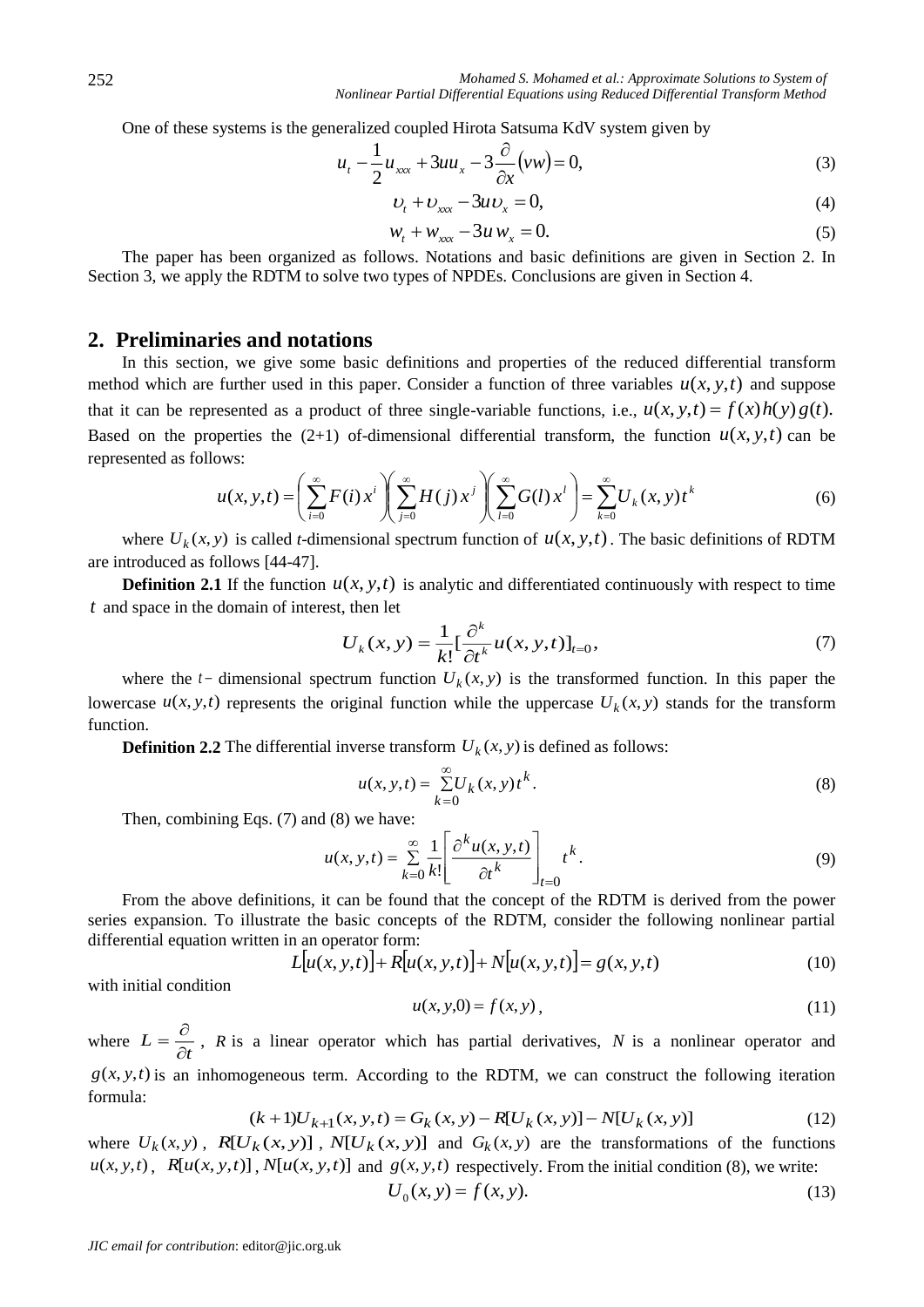One of these systems is the generalized coupled Hirota Satsuma KdV system given by

$$
u_t - \frac{1}{2}u_{xxx} + 3uu_x - 3\frac{\partial}{\partial x}(vw) = 0,\tag{3}
$$

$$
U_t + U_{xxx} - 3uv_x = 0,\t\t(4)
$$

$$
w_t + w_{xxx} - 3u w_x = 0.
$$
 (5)

The paper has been organized as follows. Notations and basic definitions are given in Section 2. In Section 3, we apply the RDTM to solve two types of NPDEs. Conclusions are given in Section 4.

## **2. Preliminaries and notations**

In this section, we give some basic definitions and properties of the reduced differential transform method which are further used in this paper. Consider a function of three variables  $u(x, y, t)$  and suppose that it can be represented as a product of three single-variable functions, i.e.,  $u(x, y, t) = f(x)h(y)g(t)$ . Based on the properties the  $(2+1)$  of-dimensional differential transform, the function  $u(x, y, t)$  can be represented as follows:

$$
u(x, y, t) = \left(\sum_{i=0}^{\infty} F(i) x^{i}\right) \left(\sum_{j=0}^{\infty} H(j) x^{j}\right) \left(\sum_{l=0}^{\infty} G(l) x^{l}\right) = \sum_{k=0}^{\infty} U_{k}(x, y) t^{k}
$$
(6)

where  $U_k(x, y)$  is called *t*-dimensional spectrum function of  $u(x, y, t)$ . The basic definitions of RDTM are introduced as follows [\[44-47\].](http://www.sciencedirect.com/science/article/pii/S1110016814000040#b0045)

**Definition 2.1** If the function  $u(x, y, t)$  is analytic and differentiated continuously with respect to time *t* and space in the domain of interest, then let

$$
U_k(x, y) = \frac{1}{k!} \left[ \frac{\partial^k}{\partial t^k} u(x, y, t) \right]_{t=0},\tag{7}
$$

where the  $t$ - dimensional spectrum function  $U_k(x, y)$  is the transformed function. In this paper the lowercase  $u(x, y, t)$  represents the original function while the uppercase  $U_k(x, y)$  stands for the transform function.

**Definition 2.2** The differential inverse transform  $U_k(x, y)$  is defined as follows:

$$
u(x, y, t) = \sum_{k=0}^{\infty} U_k(x, y) t^k.
$$
 (8)

Then, combining Eqs. [\(7\)](http://www.sciencedirect.com/science/article/pii/S1110016814000040#e0015) and [\(8\)](http://www.sciencedirect.com/science/article/pii/S1110016814000040#e0020) we have:

$$
u(x, y, t) = \sum_{k=0}^{\infty} \frac{1}{k!} \left[ \frac{\partial^k u(x, y, t)}{\partial t^k} \right]_{t=0} t^k.
$$
 (9)

From the above definitions, it can be found that the concept of the RDTM is derived from the power series expansion. To illustrate the basic concepts of the RDTM, consider the following nonlinear partial differential equation written in an operator form:

$$
L[u(x, y, t)] + R[u(x, y, t)] + N[u(x, y, t)] = g(x, y, t)
$$
\n(10)

with initial condition

$$
u(x, y, 0) = f(x, y),
$$
 (11)

where  $L = \frac{c}{\partial t}$  $L=\frac{1}{\partial}$  $=\frac{\partial}{\partial x}$ , *R* is a linear operator which has partial derivatives, *N* is a nonlinear operator and  $g(x, y, t)$  is an inhomogeneous term. According to the RDTM, we can construct the following iteration formula:

$$
(k+1)U_{k+1}(x, y, t) = G_k(x, y) - R[U_k(x, y)] - N[U_k(x, y)]
$$
\n(12)

where  $U_k(x, y)$ ,  $R[U_k(x, y)]$ ,  $N[U_k(x, y)]$  and  $G_k(x, y)$  are the transformations of the functions  $u(x, y, t)$ ,  $R[u(x, y, t)]$ ,  $N[u(x, y, t)]$  and  $g(x, y, t)$  respectively. From the initial condition (8), we write:

$$
U_0(x, y) = f(x, y).
$$
 (13)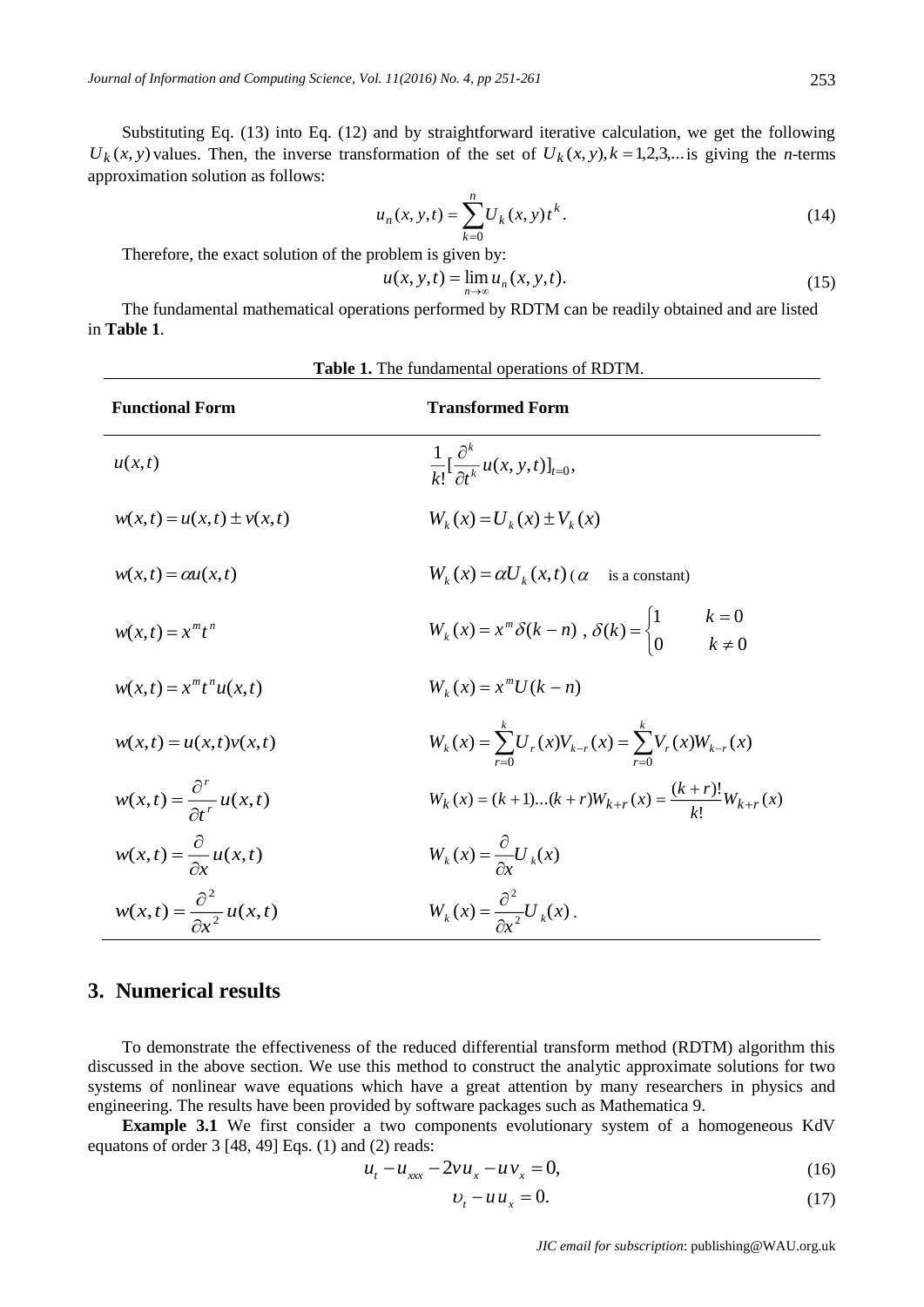Substituting Eq. (13) into Eq. (12) and by straightforward iterative calculation, we get the following  $U_k(x, y)$  values. Then, the inverse transformation of the set of  $U_k(x, y)$ ,  $k = 1, 2, 3, \dots$  is giving the *n*-terms approximation solution as follows:

$$
u_n(x, y, t) = \sum_{k=0}^{n} U_k(x, y) t^k.
$$
 (14)

Therefore, the exact solution of the problem is given by:

$$
u(x, y, t) = \lim_{n \to \infty} u_n(x, y, t).
$$
 (15)

The fundamental mathematical operations performed by RDTM can be readily obtained and are listed in **[Table 1](http://www.sciencedirect.com/science/article/pii/S1110016814000040#t0005)**.

| <b>Table 1.</b> The fundamental operations of RDTM. |                                                                                                        |  |  |  |  |  |
|-----------------------------------------------------|--------------------------------------------------------------------------------------------------------|--|--|--|--|--|
| <b>Functional Form</b>                              | <b>Transformed Form</b>                                                                                |  |  |  |  |  |
| u(x,t)                                              | $\frac{1}{k!} \left[ \frac{\partial^k}{\partial t^k} u(x, y, t) \right]_{t=0},$                        |  |  |  |  |  |
| $w(x,t) = u(x,t) \pm v(x,t)$                        | $W_{k}(x) = U_{k}(x) \pm V_{k}(x)$                                                                     |  |  |  |  |  |
| $w(x,t) = \alpha u(x,t)$                            | $W_{k}(x) = \alpha U_{k}(x,t)$ ( $\alpha$<br>is a constant)                                            |  |  |  |  |  |
| $w(x,t) = x^m t^n$                                  | $k = 0$<br>$k \neq 0$<br>$W_k(x) = x^m \delta(k - n)$ , $\delta(k) = \begin{cases} 1 \\ 0 \end{cases}$ |  |  |  |  |  |
| $w(x,t) = x^m t^n u(x,t)$                           | $W_k(x) = x^m U(k-n)$                                                                                  |  |  |  |  |  |
| $w(x,t) = u(x,t)v(x,t)$                             | $W_k(x) = \sum_{r=0}^{k} U_r(x) V_{k-r}(x) = \sum_{r=0}^{k} V_r(x) W_{k-r}(x)$                         |  |  |  |  |  |
| $w(x,t) = \frac{\partial^r}{\partial t^r} u(x,t)$   | $W_k(x) = (k+1)(k+r)W_{k+r}(x) = \frac{(k+r)!}{k!}W_{k+r}(x)$                                          |  |  |  |  |  |
| $w(x,t) = \frac{\partial}{\partial x}u(x,t)$        | $W_k(x) = \frac{\partial}{\partial x} U_k(x)$                                                          |  |  |  |  |  |
| $w(x,t) = \frac{\partial^2}{\partial x^2} u(x,t)$   | $W_k(x) = \frac{\partial^2}{\partial x^2} U_k(x)$ .                                                    |  |  |  |  |  |

# **3. Numerical results**

To demonstrate the effectiveness of the reduced differential transform method (RDTM) algorithm this discussed in the above section. We use this method to construct the analytic approximate solutions for two systems of nonlinear wave equations which have a great attention by many researchers in physics and engineering. The results have been provided by software packages such as Mathematica 9.

**Example 3.1** We first consider a two components evolutionary system of a homogeneous KdV equatons of order 3 [48, 49] Eqs. (1) and (2) reads:

$$
u_t - u_{xxx} - 2vu_x - uv_x = 0, \t(16)
$$

$$
v_t - u u_x = 0. \tag{17}
$$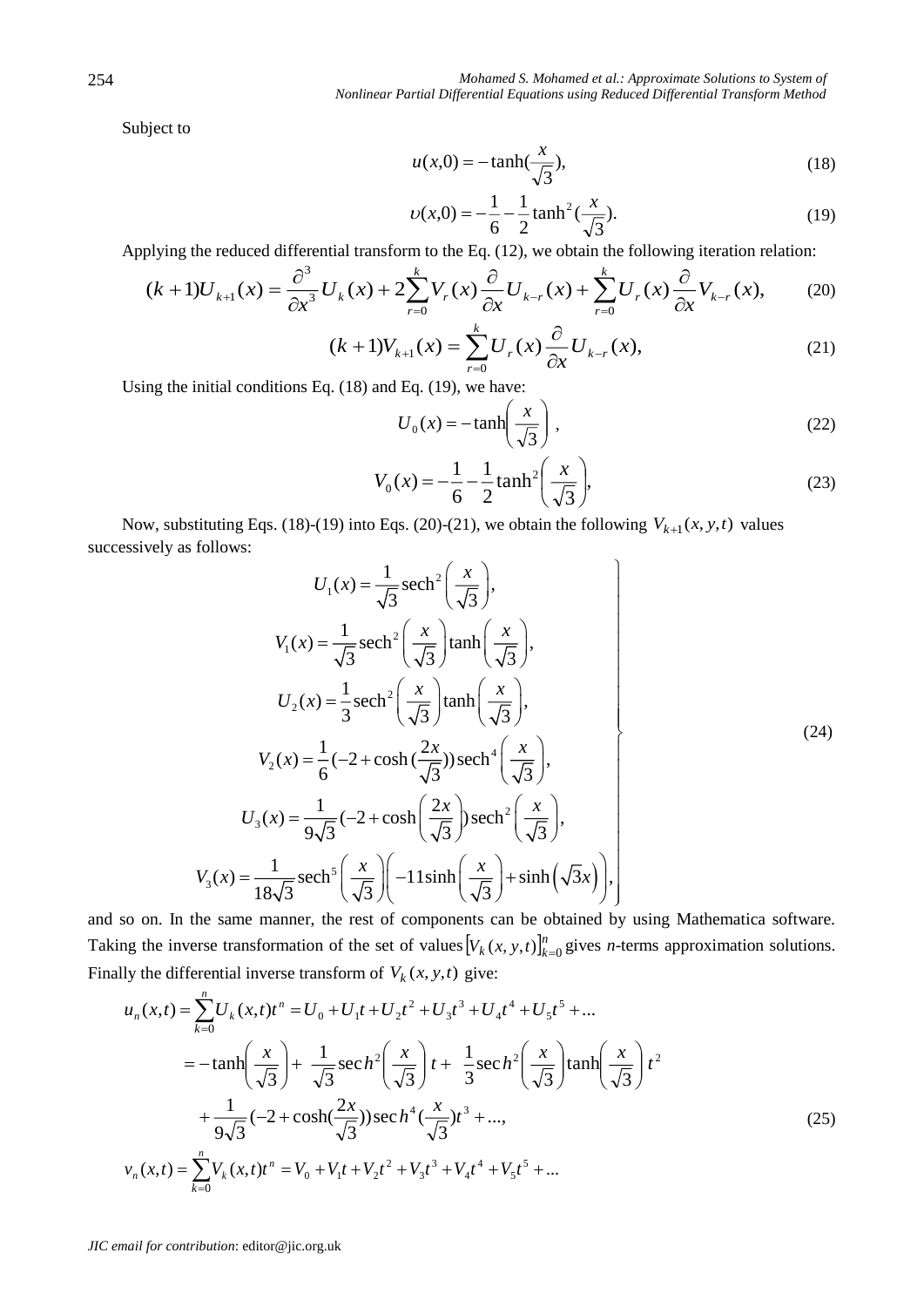Subject to

$$
u(x,0) = -\tanh(\frac{x}{\sqrt{3}}),\tag{18}
$$

$$
\upsilon(x,0) = -\frac{1}{6} - \frac{1}{2}\tanh^2(\frac{x}{\sqrt{3}}). \tag{19}
$$

Applying the reduced differential transform to the Eq. (12), we obtain the following iteration relation:

$$
(k+1)U_{k+1}(x) = \frac{\partial^3}{\partial x^3} U_k(x) + 2\sum_{r=0}^k V_r(x) \frac{\partial}{\partial x} U_{k-r}(x) + \sum_{r=0}^k U_r(x) \frac{\partial}{\partial x} V_{k-r}(x),
$$
(20)

$$
(k+1)V_{k+1}(x) = \sum_{r=0}^{k} U_r(x) \frac{\partial}{\partial x} U_{k-r}(x),
$$
\n(21)

Using the initial conditions Eq. (18) and Eq. (19), we have:

$$
U_0(x) = -\tanh\left(\frac{x}{\sqrt{3}}\right),\tag{22}
$$

$$
V_0(x) = -\frac{1}{6} - \frac{1}{2} \tanh^2\left(\frac{x}{\sqrt{3}}\right),\tag{23}
$$

Now, substituting Eqs. (18)-(19) into Eqs. (20)-(21), we obtain the following  $V_{k+1}(x, y, t)$  values successively as follows: 6 2  $(\sqrt{3})$ <br>(21), we obtain the form

Now, substituting Eqs. (18)-(19) into Eqs. (20)-(21), we obtain the following 
$$
V_{k+1}(x, y, t)
$$
 values  
\nsuccessively as follows:  
\n
$$
U_1(x) = \frac{1}{\sqrt{3}} \operatorname{sech}^2\left(\frac{x}{\sqrt{3}}\right),
$$
\n
$$
V_1(x) = \frac{1}{\sqrt{3}} \operatorname{sech}^2\left(\frac{x}{\sqrt{3}}\right) \tanh\left(\frac{x}{\sqrt{3}}\right),
$$
\n
$$
U_2(x) = \frac{1}{3} \operatorname{sech}^2\left(\frac{x}{\sqrt{3}}\right) \tanh\left(\frac{x}{\sqrt{3}}\right),
$$
\n
$$
V_2(x) = \frac{1}{6} \left(-2 + \cosh\left(\frac{2x}{\sqrt{3}}\right)\right) \operatorname{sech}^4\left(\frac{x}{\sqrt{3}}\right),
$$
\n
$$
U_3(x) = \frac{1}{9\sqrt{3}} \left(-2 + \cosh\left(\frac{2x}{\sqrt{3}}\right)\right) \operatorname{sech}^2\left(\frac{x}{\sqrt{3}}\right),
$$
\n
$$
V_3(x) = \frac{1}{18\sqrt{3}} \operatorname{sech}^5\left(\frac{x}{\sqrt{3}}\right) \left(-11 \sinh\left(\frac{x}{\sqrt{3}}\right) + \sinh\left(\sqrt{3}x\right)\right),
$$
\nand so on. In the same manner, the rest of components can be obtained by using Mathematica software.

Taking the inverse transformation of the set of values  $[V_k(x, y, t)]_{k=0}^n$  gives *n*-terms approximation solutions. Finally the differential inverse transform of  $V_k(x, y, t)$  give:

$$
u_n(x,t) = \sum_{k=0}^n U_k(x,t)t^n = U_0 + U_1t + U_2t^2 + U_3t^3 + U_4t^4 + U_5t^5 + ...
$$
  

$$
= -\tanh\left(\frac{x}{\sqrt{3}}\right) + \frac{1}{\sqrt{3}}\sec h^2\left(\frac{x}{\sqrt{3}}\right)t + \frac{1}{3}\sec h^2\left(\frac{x}{\sqrt{3}}\right)\tanh\left(\frac{x}{\sqrt{3}}\right)t^2
$$

$$
+ \frac{1}{9\sqrt{3}}(-2 + \cosh(\frac{2x}{\sqrt{3}}))\sec h^4(\frac{x}{\sqrt{3}})t^3 + ... ,
$$

$$
v_n(x,t) = \sum_{k=0}^n V_k(x,t)t^n = V_0 + V_1t + V_2t^2 + V_3t^3 + V_4t^4 + V_5t^5 + ...
$$
 (25)

*JIC email for contribution*: editor@jic.org.uk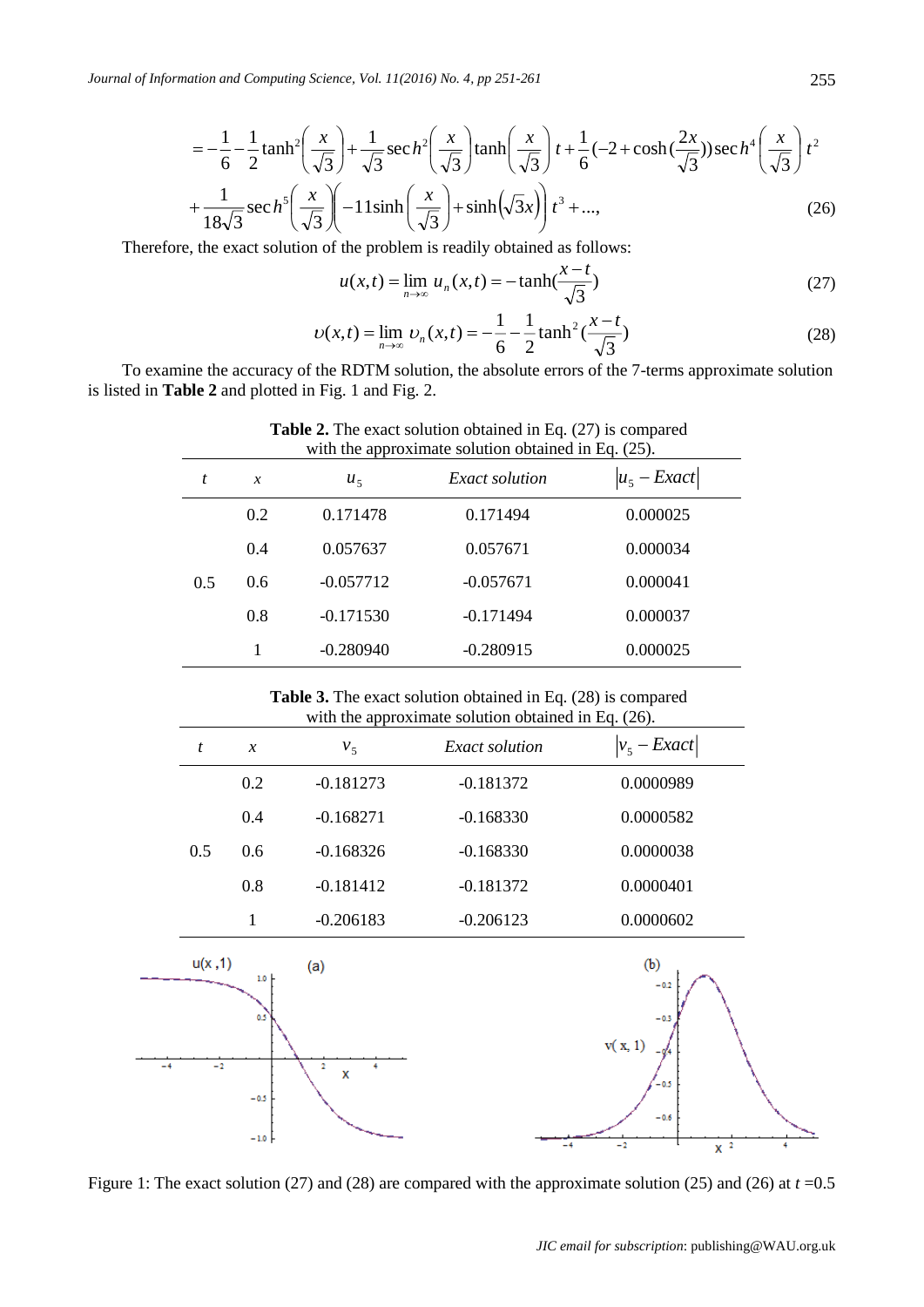$$
= -\frac{1}{6} - \frac{1}{2} \tanh^{2} \left( \frac{x}{\sqrt{3}} \right) + \frac{1}{\sqrt{3}} \sec h^{2} \left( \frac{x}{\sqrt{3}} \right) \tanh \left( \frac{x}{\sqrt{3}} \right) t + \frac{1}{6} (-2 + \cosh(\frac{2x}{\sqrt{3}})) \sec h^{4} \left( \frac{x}{\sqrt{3}} \right) t^{2} + \frac{1}{18\sqrt{3}} \sec h^{5} \left( \frac{x}{\sqrt{3}} \right) \left( -11 \sinh \left( \frac{x}{\sqrt{3}} \right) + \sinh(\sqrt{3}x) \right) t^{3} + \dots,
$$
\n(26)

Therefore, the exact solution of the problem is readily obtained as follows:

$$
u(x,t) = \lim_{n \to \infty} u_n(x,t) = -\tanh(\frac{x-t}{\sqrt{3}})
$$
 (27)

$$
\upsilon(x,t) = \lim_{n \to \infty} \upsilon_n(x,t) = -\frac{1}{6} - \frac{1}{2} \tanh^2\left(\frac{x-t}{\sqrt{3}}\right)
$$
 (28)

To examine the accuracy of the RDTM solution, the absolute errors of the 7-terms approximate solution is listed in **Table 2** and plotted in Fig. 1 and Fig. 2.

| <b>rapic 2.</b> The exact solution obtained in Eq. (27) is compared<br>with the approximate solution obtained in Eq. (25). |                            |             |                |                 |  |  |  |
|----------------------------------------------------------------------------------------------------------------------------|----------------------------|-------------|----------------|-----------------|--|--|--|
| t                                                                                                                          | $\boldsymbol{\mathcal{X}}$ | $u_{\zeta}$ | Exact solution | $ u_5 - Exact $ |  |  |  |
|                                                                                                                            | 0.2                        | 0.171478    | 0.171494       | 0.000025        |  |  |  |
|                                                                                                                            | 0.4                        | 0.057637    | 0.057671       | 0.000034        |  |  |  |
| 0.5                                                                                                                        | 0.6                        | $-0.057712$ | $-0.057671$    | 0.000041        |  |  |  |
|                                                                                                                            | 0.8                        | $-0.171530$ | $-0.171494$    | 0.000037        |  |  |  |
|                                                                                                                            |                            | $-0.280940$ | $-0.280915$    | 0.000025        |  |  |  |

**Table 2.** The exact solution obtained in Eq. (27) is compared

**Table 3.** The exact solution obtained in Eq. (28) is compared with the approximate solution obtained in Eq. (26).

|      | $\boldsymbol{t}$ | $\boldsymbol{\mathcal{X}}$ | v <sub>5</sub> | <b>Exact solution</b> | $ v_5 - Exact $                                       |  |
|------|------------------|----------------------------|----------------|-----------------------|-------------------------------------------------------|--|
|      |                  | 0.2                        | $-0.181273$    | $-0.181372$           | 0.0000989                                             |  |
|      |                  | 0.4                        | $-0.168271$    | $-0.168330$           | 0.0000582                                             |  |
|      | 0.5              | 0.6                        | $-0.168326$    | $-0.168330$           | 0.0000038                                             |  |
|      |                  | 0.8                        | $-0.181412$    | $-0.181372$           | 0.0000401                                             |  |
|      |                  | $\mathbf{1}$               | $-0.206183$    | $-0.206123$           | 0.0000602                                             |  |
|      | u(x,1)           | 1.0<br>0.1                 | (a)            |                       | (b)<br>$-0.2$<br>$-0.3$                               |  |
| $-4$ | $-2$             | $-0.5$<br>$-1.0$ +         | 2<br>4<br>X    |                       | v(x, 1)<br>$-0.5$<br>$-0.6$<br>$\mathbf{v}$ 2<br>$-2$ |  |

Figure 1: The exact solution (27) and (28) are compared with the approximate solution (25) and (26) at *t* =0.5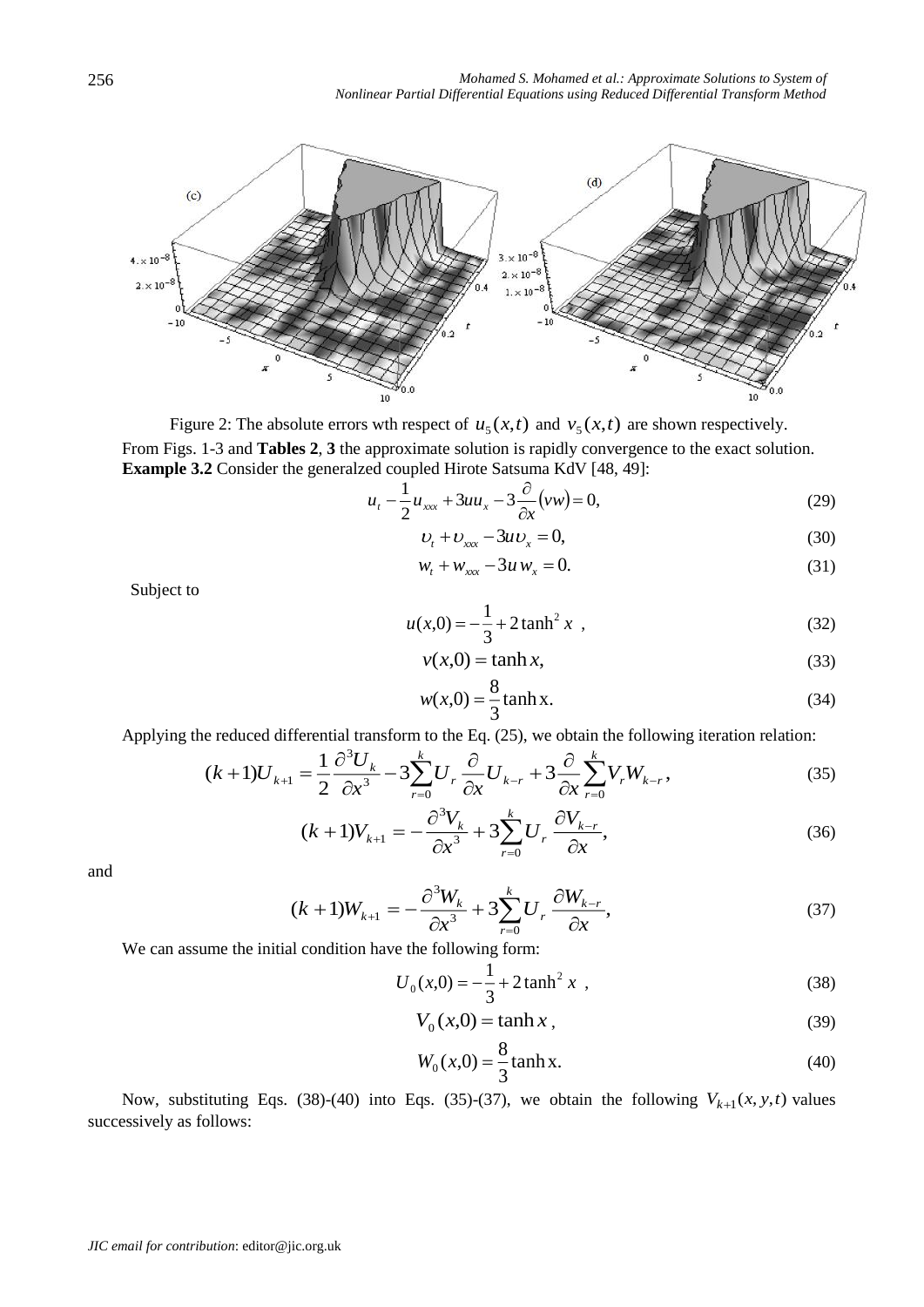

Figure 2: The absolute errors wth respect of  $u_5(x,t)$  and  $v_5(x,t)$  are shown respectively. From Figs. 1-3 and **Tables 2**, **3** the approximate solution is rapidly convergence to the exact solution. **Example 3.2** Consider the generalzed coupled Hirote Satsuma KdV [48, 49]:

$$
u_t - \frac{1}{2}u_{xxx} + 3uu_x - 3\frac{\partial}{\partial x}(vw) = 0,
$$
\n(29)

$$
U_t + U_{xxx} - 3uv_x = 0, \tag{30}
$$

$$
w_t + w_{xxx} - 3u w_x = 0.
$$
 (31)

Subject to

$$
u(x,0) = -\frac{1}{3} + 2 \tanh^2 x \tag{32}
$$

$$
v(x,0) = \tanh x,\tag{33}
$$

$$
w(x,0) = \frac{8}{3} \tanh x.
$$
 (34)

Applying the reduced differential transform to the Eq. (25), we obtain the following iteration relation:

$$
(k+1)U_{k+1} = \frac{1}{2}\frac{\partial^3 U_k}{\partial x^3} - 3\sum_{r=0}^k U_r \frac{\partial}{\partial x} U_{k-r} + 3\frac{\partial}{\partial x} \sum_{r=0}^k V_r W_{k-r},
$$
(35)

$$
(k+1)V_{k+1} = -\frac{\partial^3 V_k}{\partial x^3} + 3\sum_{r=0}^k U_r \frac{\partial V_{k-r}}{\partial x},\tag{36}
$$

and

$$
(k+1)W_{k+1} = -\frac{\partial^3 W_k}{\partial x^3} + 3\sum_{r=0}^k U_r \frac{\partial W_{k-r}}{\partial x},\tag{37}
$$

We can assume the initial condition have the following form:

$$
U_0(x,0) = -\frac{1}{3} + 2 \tanh^2 x \tag{38}
$$

$$
V_0(x,0) = \tanh x,\tag{39}
$$

$$
W_0(x,0) = \frac{8}{3} \tanh x.
$$
 (40)

Now, substituting Eqs. (38)-(40) into Eqs. (35)-(37), we obtain the following  $V_{k+1}(x, y, t)$  values successively as follows: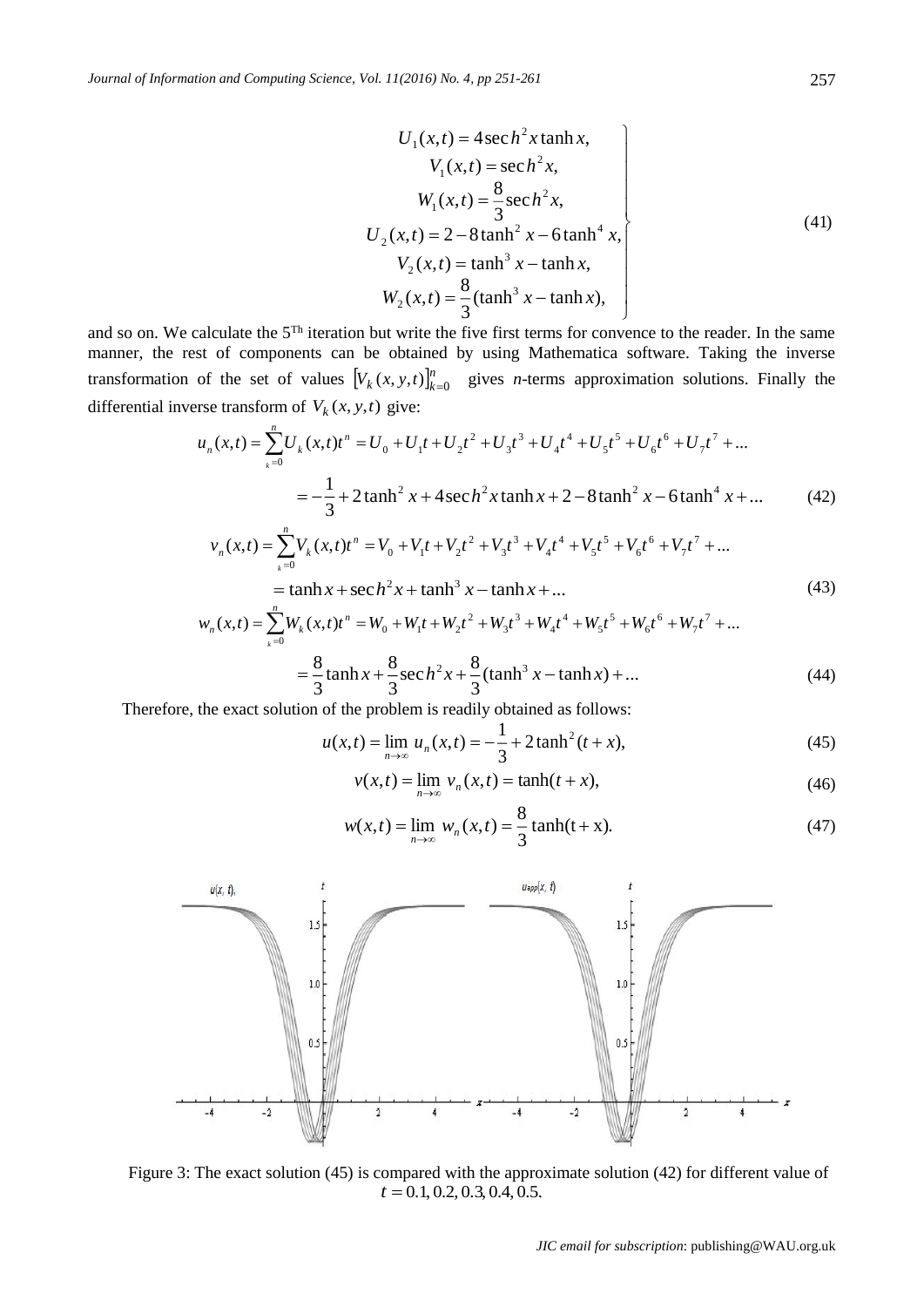$$
U_1(x,t) = 4 \sec h^2 x \tanh x,\nV_1(x,t) = \sec h^2 x,\nW_1(x,t) = \frac{8}{3} \sec h^2 x,\nU_2(x,t) = 2 - 8 \tanh^2 x - 6 \tanh^4 x,\nV_2(x,t) = \tanh^3 x - \tanh x,\nW_2(x,t) = \frac{8}{3} (\tanh^3 x - \tanh x),
$$
\n(41)

and so on. We calculate the  $5<sup>Th</sup>$  iteration but write the five first terms for convence to the reader. In the same manner, the rest of components can be obtained by using Mathematica software. Taking the inverse transformation of the set of values  $[V_k(x, y, t)]_{k=0}^n$  gives *n*-terms approximation solutions. Finally the differential inverse transform of  $V_k(x, y, t)$  give:

$$
u_n(x,t) = \sum_{k=0}^n U_k(x,t)t^n = U_0 + U_1t + U_2t^2 + U_3t^3 + U_4t^4 + U_5t^5 + U_6t^6 + U_7t^7 + ...
$$
  
= 
$$
-\frac{1}{3} + 2\tanh^2 x + 4\sec h^2 x \tanh x + 2 - 8\tanh^2 x - 6\tanh^4 x + ...
$$
 (42)

$$
v_n(x,t) = \sum_{k=0}^n V_k(x,t)t^n = V_0 + V_1t + V_2t^2 + V_3t^3 + V_4t^4 + V_5t^5 + V_6t^6 + V_7t^7 + ...
$$
  
= tanh x + sec h<sup>2</sup> x + tanh<sup>3</sup> x - tanh x + ... (43)

$$
w_n(x,t) = \sum_{k=0}^n W_k(x,t)t^n = W_0 + W_1t + W_2t^2 + W_3t^3 + W_4t^4 + W_5t^5 + W_6t^6 + W_7t^7 + ...
$$

$$
=\frac{8}{3}\tanh x + \frac{8}{3}\operatorname{sec} h^{2} x + \frac{8}{3}(\tanh^{3} x - \tanh x) + \dots
$$
 (44)

Therefore, the exact solution of the problem is readily obtained as follows:

$$
u(x,t) = \lim_{n \to \infty} u_n(x,t) = -\frac{1}{3} + 2 \tanh^2(t+x),
$$
\n(45)

$$
v(x,t) = \lim_{n \to \infty} v_n(x,t) = \tanh(t + x),
$$
 (46)

$$
w(x,t) = \lim_{n \to \infty} w_n(x,t) = \frac{8}{3} \tanh(t+x).
$$
 (47)



Figure 3: The exact solution (45) is compared with the approximate solution (42) for different value of  $t = 0.1, 0.2, 0.3, 0.4, 0.5.$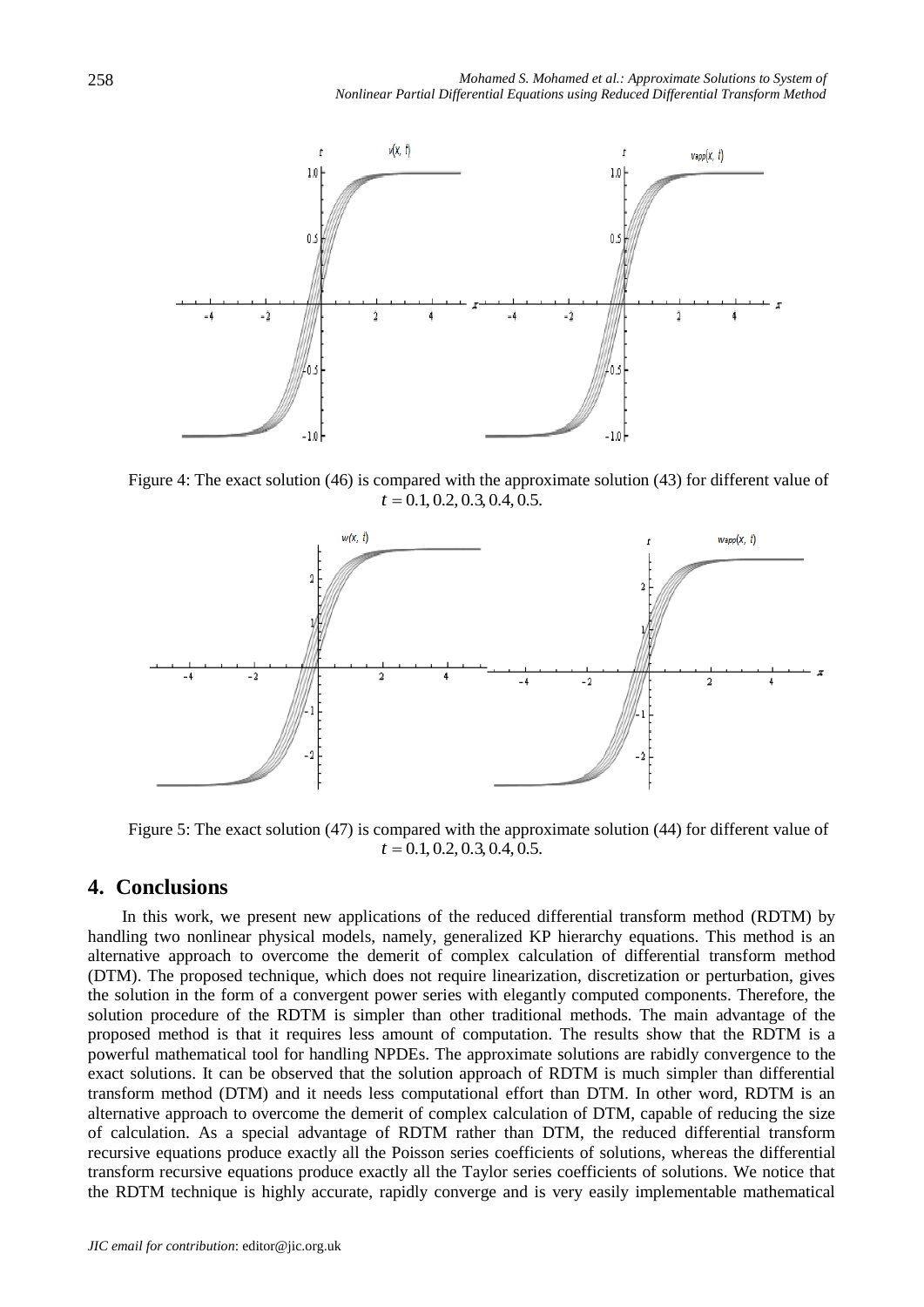

Figure 4: The exact solution (46) is compared with the approximate solution (43) for different value of  $t = 0.1, 0.2, 0.3, 0.4, 0.5.$ 



Figure 5: The exact solution (47) is compared with the approximate solution (44) for different value of  $t = 0.1, 0.2, 0.3, 0.4, 0.5.$ 

## **4. Conclusions**

In this work, we present new applications of the reduced differential transform method (RDTM) by handling two nonlinear physical models, namely, generalized KP hierarchy equations. This method is an alternative approach to overcome the demerit of complex calculation of differential transform method (DTM). The proposed technique, which does not require linearization, discretization or perturbation, gives the solution in the form of a convergent power series with elegantly computed components. Therefore, the solution procedure of the RDTM is simpler than other traditional methods. The main advantage of the proposed method is that it requires less amount of computation. The results show that the RDTM is a powerful mathematical tool for handling NPDEs. The approximate solutions are rabidly convergence to the exact solutions. It can be observed that the solution approach of RDTM is much simpler than differential transform method (DTM) and it needs less computational effort than DTM. In other word, RDTM is an alternative approach to overcome the demerit of complex calculation of DTM, capable of reducing the size of calculation. As a special advantage of RDTM rather than DTM, the reduced differential transform recursive equations produce exactly all the Poisson series coefficients of solutions, whereas the differential transform recursive equations produce exactly all the Taylor series coefficients of solutions. We notice that the RDTM technique is highly accurate, rapidly converge and is very easily implementable mathematical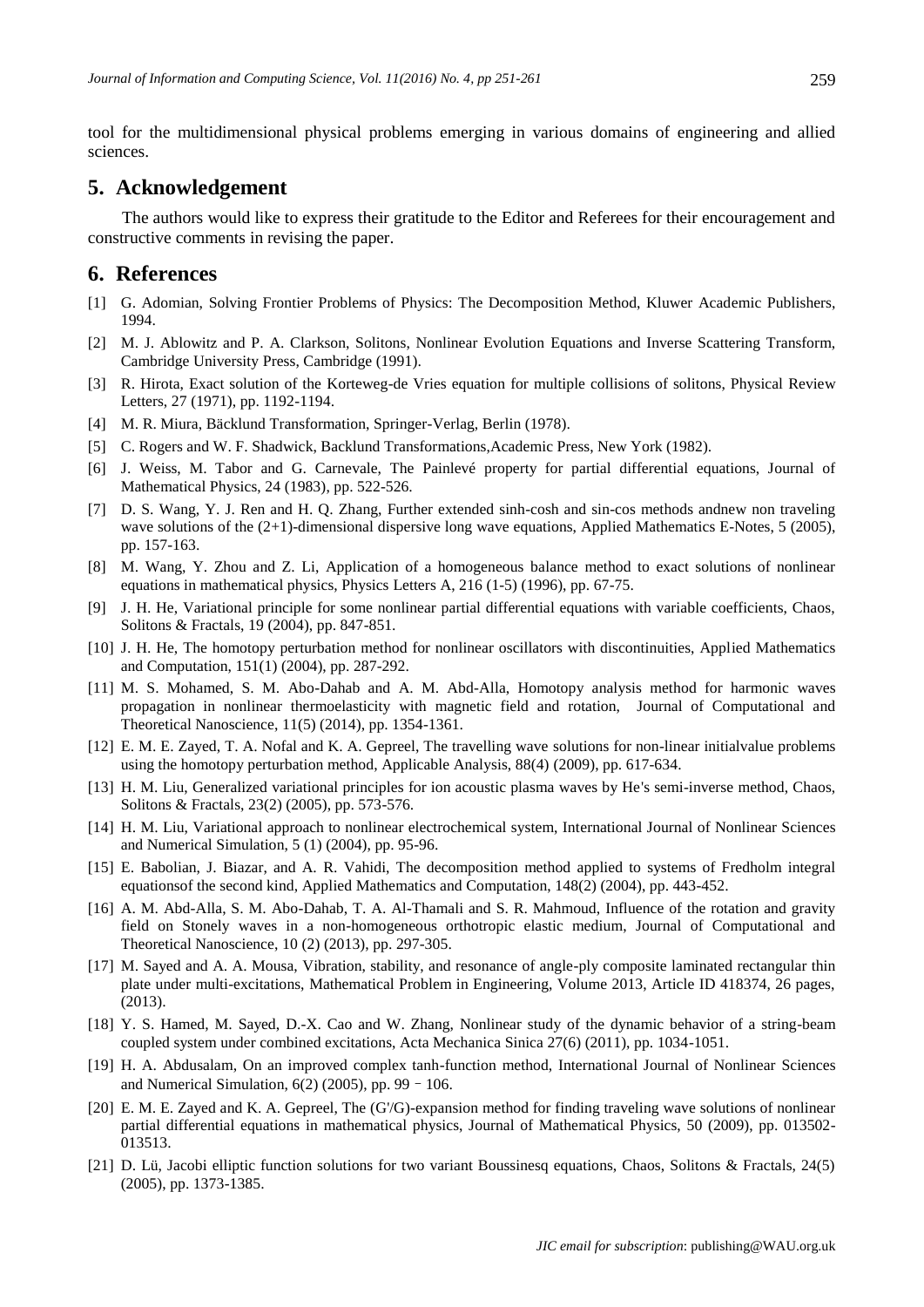tool for the multidimensional physical problems emerging in various domains of engineering and allied sciences.

## **5. Acknowledgement**

The authors would like to express their gratitude to the Editor and Referees for their encouragement and constructive comments in revising the paper.

#### **6. References**

- [1] G. Adomian, Solving Frontier Problems of Physics: The Decomposition Method, Kluwer Academic Publishers, 1994.
- [2] M. J. Ablowitz and P. A. Clarkson, Solitons, Nonlinear Evolution Equations and Inverse Scattering Transform, Cambridge University Press, Cambridge (1991).
- [3] R. Hirota, Exact solution of the Korteweg-de Vries equation for multiple collisions of solitons, Physical Review Letters, 27 (1971), pp. 1192-1194.
- [4] M. R. Miura, B äcklund Transformation, Springer-Verlag, Berlin (1978).
- [5] C. Rogers and W. F. Shadwick, Backlund Transformations,Academic Press, New York (1982).
- [6] J. Weiss, M. Tabor and G. Carnevale, The Painlevé property for partial differential equations, Journal of Mathematical Physics, 24 (1983), pp. 522-526.
- [7] D. S. Wang, Y. J. Ren and H. Q. Zhang, Further extended sinh-cosh and sin-cos methods andnew non traveling wave solutions of the  $(2+1)$ -dimensional dispersive long wave equations, Applied Mathematics E-Notes, 5 (2005), pp. 157-163.
- [8] M. Wang, Y. Zhou and Z. Li, Application of a homogeneous balance method to exact solutions of nonlinear equations in mathematical physics, Physics Letters A, 216 (1-5) (1996), pp. 67-75.
- [9] J. H. He, Variational principle for some nonlinear partial differential equations with variable coefficients, Chaos, Solitons & Fractals, 19 (2004), pp. 847-851.
- [10] J. H. He, The homotopy perturbation method for nonlinear oscillators with discontinuities, Applied Mathematics and Computation, 151(1) (2004), pp. 287-292.
- [11] M. S. Mohamed, S. M. Abo-Dahab and A. M. Abd-Alla, Homotopy analysis method for harmonic waves propagation in nonlinear thermoelasticity with magnetic field and rotation, Journal of Computational and Theoretical Nanoscience, 11(5) (2014), pp. 1354-1361.
- [12] E. M. E. Zayed, T. A. Nofal and K. A. Gepreel, The travelling wave solutions for non-linear initialvalue problems using the homotopy perturbation method, Applicable Analysis, 88(4) (2009), pp. 617-634.
- [13] H. M. Liu, Generalized variational principles for ion acoustic plasma waves by He's semi-inverse method, Chaos, Solitons & Fractals, 23(2) (2005), pp. 573-576.
- [14] H. M. Liu, Variational approach to nonlinear electrochemical system, International Journal of Nonlinear Sciences and Numerical Simulation, 5 (1) (2004), pp. 95-96.
- [15] E. Babolian, J. Biazar, and A. R. Vahidi, The decomposition method applied to systems of Fredholm integral equationsof the second kind, Applied Mathematics and Computation, 148(2) (2004), pp. 443-452.
- [16] A. M. Abd-Alla, S. M. Abo-Dahab, T. A. Al-Thamali and S. R. Mahmoud, [Influence of the rotation and gravity](http://www.ingentaconnect.com/content/asp/jctn/2013/00000010/00000002/art00007)  [field on Stonely waves in a non-homogeneous orthotropic elastic medium,](http://www.ingentaconnect.com/content/asp/jctn/2013/00000010/00000002/art00007) Journal of Computational and Theoretical Nanoscience, 10 (2) (2013), pp. 297-305.
- [17] M. Sayed and A. A. Mousa, Vibration, stability, and resonance of angle-ply composite laminated rectangular thin plate under multi-excitations, Mathematical Problem in Engineering, Volume 2013, Article ID 418374, 26 pages, (2013).
- [18] Y. S. Hamed, M. Sayed, D.-X. Cao and W. Zhang, Nonlinear study of the dynamic behavior of a string-beam coupled system under combined excitations, Acta Mechanica Sinica 27(6) (2011), pp. 1034-1051.
- [19] H. A. Abdusalam, On an improved complex tanh-function method, International Journal of Nonlinear Sciences and Numerical Simulation,  $6(2)$  (2005), pp. 99 – 106.
- [20] E. M. E. Zayed and K. A. Gepreel, The (G'/G)-expansion method for finding traveling wave solutions of nonlinear partial differential equations in mathematical physics, Journal of Mathematical Physics, 50 (2009), pp. 013502- 013513.
- [21] D. Lü, Jacobi elliptic function solutions for two variant Boussinesq equations, Chaos, Solitons & Fractals, 24(5) (2005), pp. 1373-1385.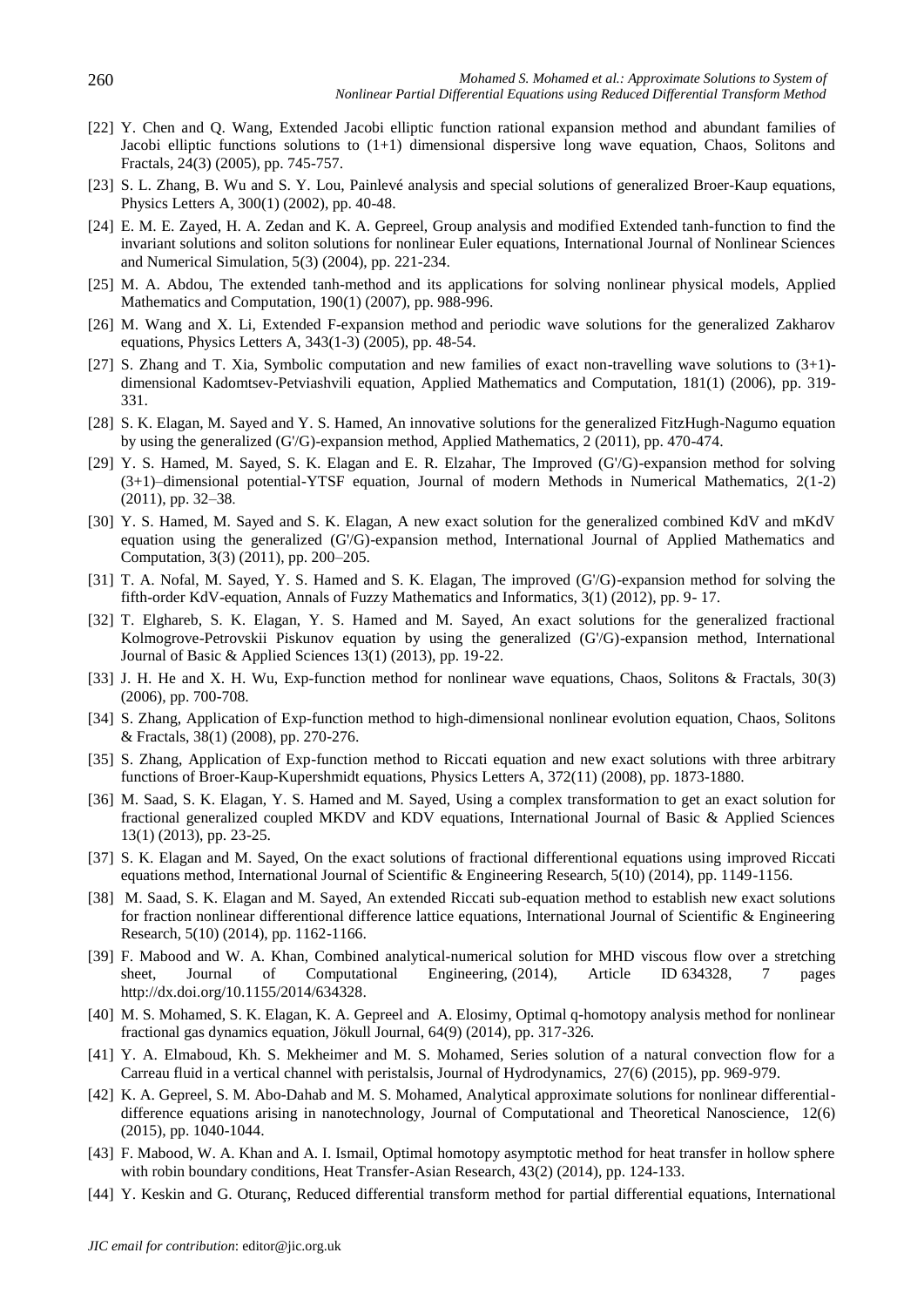- [22] Y. Chen and Q. Wang, Extended Jacobi elliptic function rational expansion method and abundant families of Jacobi elliptic functions solutions to  $(1+1)$  dimensional dispersive long wave equation, Chaos, Solitons and Fractals, 24(3) (2005), pp. 745-757.
- [23] S. L. Zhang, B. Wu and S. Y. Lou, Painlevé analysis and special solutions of generalized Broer-Kaup equations, [Physics Letters A,](http://www.sciencedirect.com/science/journal/03759601) 300(1) (2002), pp. 40-48.
- [24] E. M. E. Zayed, H. A. Zedan and K. A. Gepreel, Group analysis and modified Extended tanh-function to find the invariant solutions and soliton solutions for nonlinear Euler equations, International Journal of Nonlinear Sciences and Numerical Simulation, 5(3) (2004), pp. 221-234.
- [25] M. A. Abdou, The extended tanh-method and its applications for solving nonlinear physical models, [Applied](http://www.sciencedirect.com/science/journal/00963003)  [Mathematics and Computation,](http://www.sciencedirect.com/science/journal/00963003) 190(1) (2007), pp. 988-996.
- [26] M. Wang and X. Li, Extended F-expansion method and periodic wave solutions for the generalized Zakharov equations, [Physics Letters A,](http://www.sciencedirect.com/science/journal/03759601) 343(1-3) (2005), pp. 48-54.
- [27] S. Zhang and T. Xia, Symbolic computation and new families of exact non-travelling wave solutions to (3+1) dimensional Kadomtsev-Petviashvili equation, Applied Mathematics and Computation, 181(1) (2006), pp. 319- 331.
- [28] S. K. Elagan, M. Sayed and Y. S. Hamed, An innovative solutions for the generalized FitzHugh-Nagumo equation by using the generalized (G'/G)-expansion method, Applied Mathematics, 2 (2011), pp. 470-474.
- [29] Y. S. Hamed, M. Sayed, S. K. Elagan and E. R. Elzahar, The Improved (G'/G)-expansion method for solving (3+1)–dimensional potential-YTSF equation, Journal of modern Methods in Numerical Mathematics, 2(1-2) (2011), pp. 32–38.
- [30] Y. S. Hamed, M. Sayed and S. K. Elagan, A new exact solution for the generalized combined KdV and mKdV equation using the generalized (G'/G)-expansion method, International Journal of Applied Mathematics and Computation, 3(3) (2011), pp. 200–205.
- [31] T. A. Nofal, M. Sayed, Y. S. Hamed and S. K. Elagan, The improved (G'/G)-expansion method for solving the fifth-order KdV-equation, Annals of Fuzzy Mathematics and Informatics, 3(1) (2012), pp. 9- 17.
- [32] T. Elghareb, S. K. Elagan, Y. S. Hamed and M. Sayed, An exact solutions for the generalized fractional Kolmogrove-Petrovskii Piskunov equation by using the generalized (G'/G)-expansion method, International Journal of Basic & Applied Sciences 13(1) (2013), pp. 19-22.
- [33] J. H. He and X. H. Wu, Exp-function method for nonlinear wave equations, Chaos, Solitons & Fractals, 30(3) (2006), pp. 700-708.
- [34] S. Zhang, Application of Exp-function method to high-dimensional nonlinear evolution equation, Chaos, Solitons & Fractals, 38(1) (2008), pp. 270-276.
- [35] S. Zhang, Application of Exp-function method to Riccati equation and new exact solutions with three arbitrary functions of Broer-Kaup-Kupershmidt equations[, Physics Letters A,](http://www.sciencedirect.com/science/journal/03759601) 372(11) (2008), pp. 1873-1880.
- [36] M. Saad, S. K. Elagan, Y. S. Hamed and M. Sayed, Using a complex transformation to get an exact solution for fractional generalized coupled MKDV and KDV equations, International Journal of Basic & Applied Sciences 13(1) (2013), pp. 23-25.
- [37] S. K. Elagan and M. Sayed, On the exact solutions of fractional differentional equations using improved Riccati equations method, International Journal of Scientific & Engineering Research, 5(10) (2014), pp. 1149-1156.
- [38] M. Saad, S. K. Elagan and M. Sayed, An extended Riccati sub-equation method to establish new exact solutions for fraction nonlinear differentional difference lattice equations, International Journal of Scientific & Engineering Research, 5(10) (2014), pp. 1162-1166.
- [39] F. Mabood and [W. A. Khan,](http://www.hindawi.com/52031319/) Combined analytical-numerical solution for MHD viscous flow over a stretching sheet, Journal of Computational Engineering, (2014), Article ID 634328, 7 pages [http://dx.doi.org/10.1155/2014/634328.](http://dx.doi.org/10.1155/2014/634328)
- [40] M. S. Mohamed, S. K. Elagan, K. A. Gepreel and A. Elosimy, Optimal q-homotopy analysis method for nonlinear fractional gas dynamics equation, Jökull Journal, 64(9) (2014), pp. 317-326.
- [41] Y. A. Elmaboud, Kh. S. Mekheimer and M. S. Mohamed, Series solution of a natural convection flow for a Carreau fluid in a vertical channel with peristalsis, Journal of Hydrodynamics, 27(6) (2015), pp. 969-979.
- [42] K. A. Gepreel, S. M. Abo-Dahab and M. S. Mohamed, Analytical approximate solutions for nonlinear differentialdifference equations arising in nanotechnology, Journal of Computational and Theoretical Nanoscience, 12(6) (2015), pp. 1040-1044.
- [43] F. Mabood, W. A. Khan and A. I. Ismail, Optimal homotopy asymptotic method for heat transfer in hollow sphere with robin boundary conditions, Heat Transfer-Asian Research, 43(2) (2014), pp. 124-133.
- [44] Y. Keskin and G. Oturanç, Reduced differential transform method for partial differential equations, International